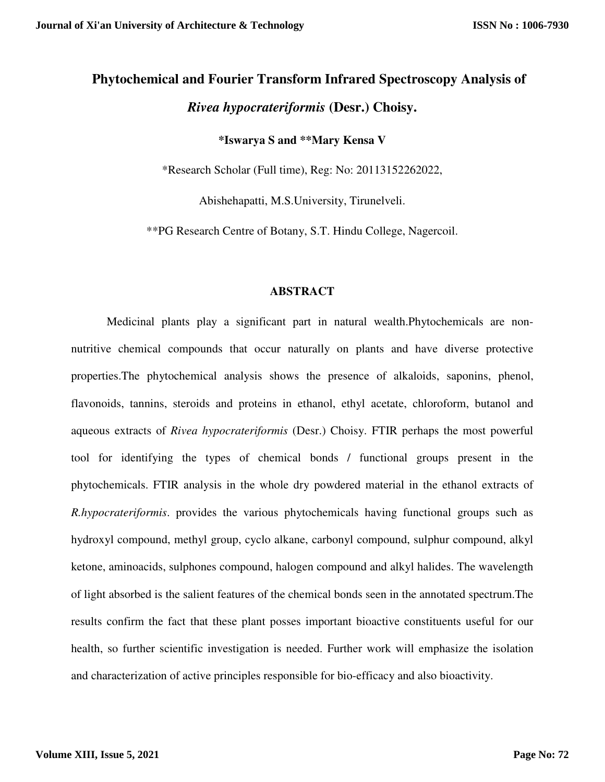# **Phytochemical and Fourier Transform Infrared Spectroscopy Analysis of**  *Rivea hypocrateriformis* **(Desr.) Choisy.**

# **\*Iswarya S and \*\*Mary Kensa V**

\*Research Scholar (Full time), Reg: No: 20113152262022,

Abishehapatti, M.S.University, Tirunelveli.

\*\*PG Research Centre of Botany, S.T. Hindu College, Nagercoil.

#### **ABSTRACT**

Medicinal plants play a significant part in natural wealth.Phytochemicals are nonnutritive chemical compounds that occur naturally on plants and have diverse protective properties.The phytochemical analysis shows the presence of alkaloids, saponins, phenol, flavonoids, tannins, steroids and proteins in ethanol, ethyl acetate, chloroform, butanol and aqueous extracts of *Rivea hypocrateriformis* (Desr.) Choisy. FTIR perhaps the most powerful tool for identifying the types of chemical bonds / functional groups present in the phytochemicals. FTIR analysis in the whole dry powdered material in the ethanol extracts of *R.hypocrateriformis*. provides the various phytochemicals having functional groups such as hydroxyl compound, methyl group, cyclo alkane, carbonyl compound, sulphur compound, alkyl ketone, aminoacids, sulphones compound, halogen compound and alkyl halides. The wavelength of light absorbed is the salient features of the chemical bonds seen in the annotated spectrum.The results confirm the fact that these plant posses important bioactive constituents useful for our health, so further scientific investigation is needed. Further work will emphasize the isolation and characterization of active principles responsible for bio-efficacy and also bioactivity.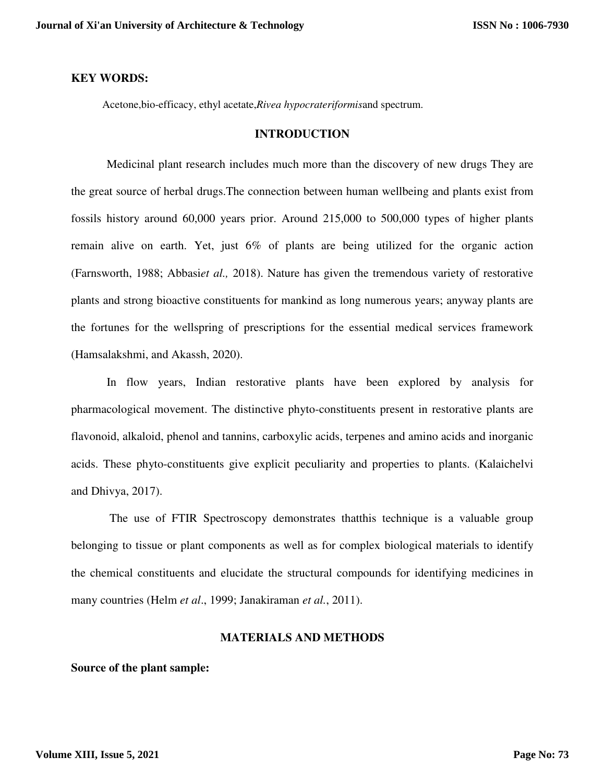#### **KEY WORDS:**

Acetone,bio-efficacy, ethyl acetate,*Rivea hypocrateriformis*and spectrum.

#### **INTRODUCTION**

Medicinal plant research includes much more than the discovery of new drugs They are the great source of herbal drugs.The connection between human wellbeing and plants exist from fossils history around 60,000 years prior. Around 215,000 to 500,000 types of higher plants remain alive on earth. Yet, just 6% of plants are being utilized for the organic action (Farnsworth, 1988; Abbasi*et al.,* 2018). Nature has given the tremendous variety of restorative plants and strong bioactive constituents for mankind as long numerous years; anyway plants are the fortunes for the wellspring of prescriptions for the essential medical services framework (Hamsalakshmi, and Akassh, 2020).

In flow years, Indian restorative plants have been explored by analysis for pharmacological movement. The distinctive phyto-constituents present in restorative plants are flavonoid, alkaloid, phenol and tannins, carboxylic acids, terpenes and amino acids and inorganic acids. These phyto-constituents give explicit peculiarity and properties to plants. (Kalaichelvi and Dhivya, 2017).

 The use of FTIR Spectroscopy demonstrates thatthis technique is a valuable group belonging to tissue or plant components as well as for complex biological materials to identify the chemical constituents and elucidate the structural compounds for identifying medicines in many countries (Helm *et al*., 1999; Janakiraman *et al.*, 2011).

#### **MATERIALS AND METHODS**

**Source of the plant sample:**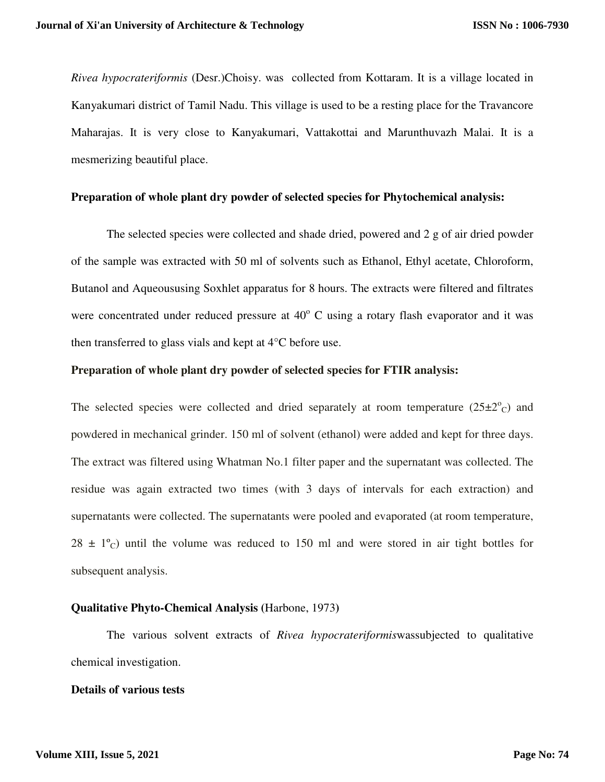*Rivea hypocrateriformis* (Desr.)Choisy. was collected from Kottaram. It is a village located in Kanyakumari district of Tamil Nadu. This village is used to be a resting place for the Travancore Maharajas. It is very close to Kanyakumari, Vattakottai and Marunthuvazh Malai. It is a mesmerizing beautiful place.

#### **Preparation of whole plant dry powder of selected species for Phytochemical analysis:**

The selected species were collected and shade dried, powered and 2 g of air dried powder of the sample was extracted with 50 ml of solvents such as Ethanol, Ethyl acetate, Chloroform, Butanol and Aqueoususing Soxhlet apparatus for 8 hours. The extracts were filtered and filtrates were concentrated under reduced pressure at  $40^{\circ}$  C using a rotary flash evaporator and it was then transferred to glass vials and kept at 4°C before use.

#### **Preparation of whole plant dry powder of selected species for FTIR analysis:**

The selected species were collected and dried separately at room temperature  $(25\pm2^{\circ}c)$  and powdered in mechanical grinder. 150 ml of solvent (ethanol) were added and kept for three days. The extract was filtered using Whatman No.1 filter paper and the supernatant was collected. The residue was again extracted two times (with 3 days of intervals for each extraction) and supernatants were collected. The supernatants were pooled and evaporated (at room temperature,  $28 \pm 1^{\circ}$  until the volume was reduced to 150 ml and were stored in air tight bottles for subsequent analysis.

#### **Qualitative Phyto-Chemical Analysis (**Harbone, 1973**)**

The various solvent extracts of *Rivea hypocrateriformis*wassubjected to qualitative chemical investigation.

## **Details of various tests**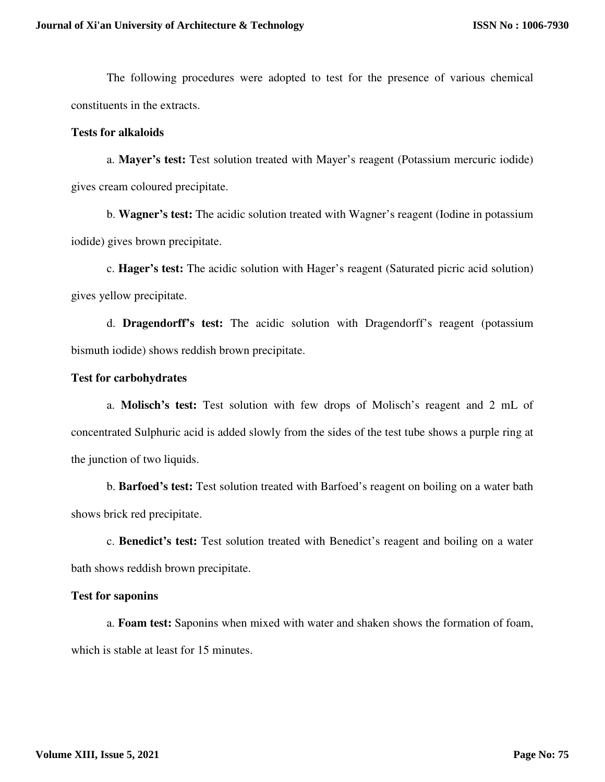The following procedures were adopted to test for the presence of various chemical constituents in the extracts.

# **Tests for alkaloids**

a. **Mayer's test:** Test solution treated with Mayer's reagent (Potassium mercuric iodide) gives cream coloured precipitate.

b. **Wagner's test:** The acidic solution treated with Wagner's reagent (Iodine in potassium iodide) gives brown precipitate.

c. **Hager's test:** The acidic solution with Hager's reagent (Saturated picric acid solution) gives yellow precipitate.

d. **Dragendorff's test:** The acidic solution with Dragendorff's reagent (potassium bismuth iodide) shows reddish brown precipitate.

#### **Test for carbohydrates**

a. **Molisch's test:** Test solution with few drops of Molisch's reagent and 2 mL of concentrated Sulphuric acid is added slowly from the sides of the test tube shows a purple ring at the junction of two liquids.

b. **Barfoed's test:** Test solution treated with Barfoed's reagent on boiling on a water bath shows brick red precipitate.

c. **Benedict's test:** Test solution treated with Benedict's reagent and boiling on a water bath shows reddish brown precipitate.

#### **Test for saponins**

a. **Foam test:** Saponins when mixed with water and shaken shows the formation of foam, which is stable at least for 15 minutes.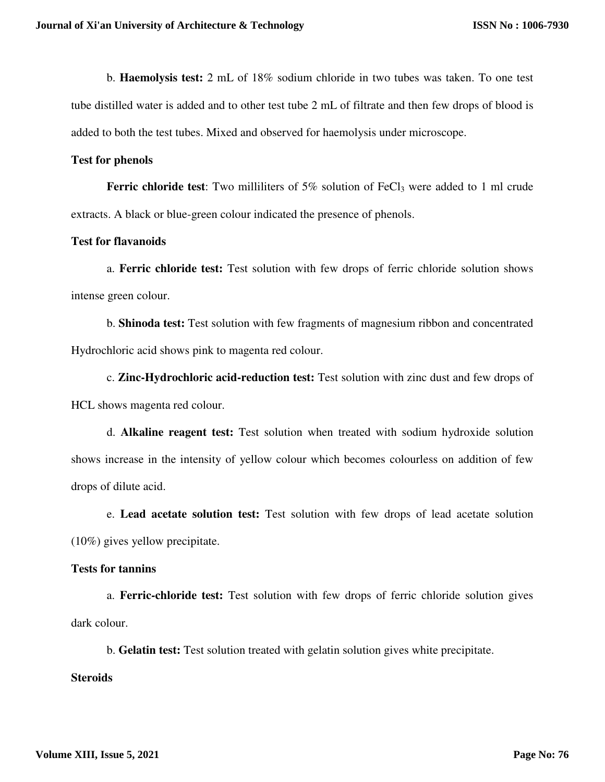b. **Haemolysis test:** 2 mL of 18% sodium chloride in two tubes was taken. To one test tube distilled water is added and to other test tube 2 mL of filtrate and then few drops of blood is added to both the test tubes. Mixed and observed for haemolysis under microscope.

#### **Test for phenols**

**Ferric chloride test:** Two milliliters of 5% solution of FeCl<sub>3</sub> were added to 1 ml crude extracts. A black or blue-green colour indicated the presence of phenols.

## **Test for flavanoids**

a. **Ferric chloride test:** Test solution with few drops of ferric chloride solution shows intense green colour.

b. **Shinoda test:** Test solution with few fragments of magnesium ribbon and concentrated Hydrochloric acid shows pink to magenta red colour.

c. **Zinc-Hydrochloric acid-reduction test:** Test solution with zinc dust and few drops of HCL shows magenta red colour.

d. **Alkaline reagent test:** Test solution when treated with sodium hydroxide solution shows increase in the intensity of yellow colour which becomes colourless on addition of few drops of dilute acid.

e. **Lead acetate solution test:** Test solution with few drops of lead acetate solution (10%) gives yellow precipitate.

# **Tests for tannins**

a. **Ferric-chloride test:** Test solution with few drops of ferric chloride solution gives dark colour.

b. **Gelatin test:** Test solution treated with gelatin solution gives white precipitate.

# **Steroids**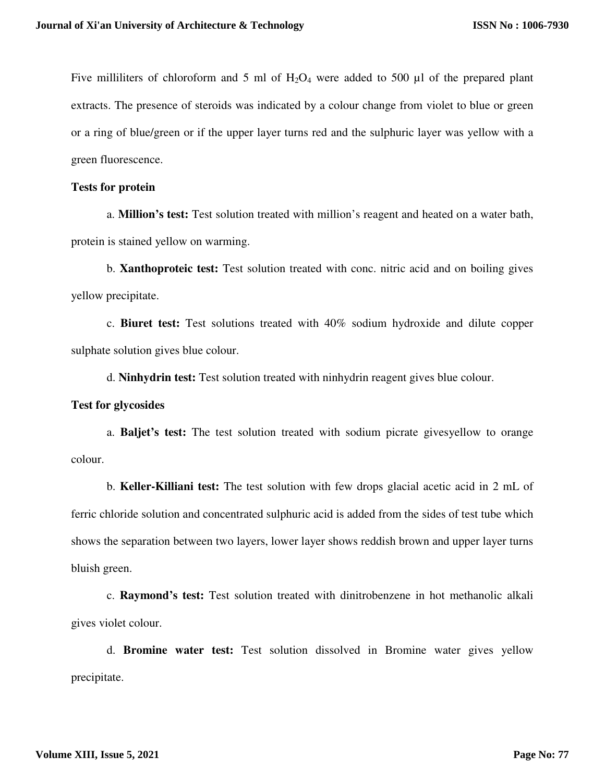Five milliliters of chloroform and 5 ml of  $H_2O_4$  were added to 500 µl of the prepared plant extracts. The presence of steroids was indicated by a colour change from violet to blue or green or a ring of blue/green or if the upper layer turns red and the sulphuric layer was yellow with a green fluorescence.

#### **Tests for protein**

a. **Million's test:** Test solution treated with million's reagent and heated on a water bath, protein is stained yellow on warming.

b. **Xanthoproteic test:** Test solution treated with conc. nitric acid and on boiling gives yellow precipitate.

c. **Biuret test:** Test solutions treated with 40% sodium hydroxide and dilute copper sulphate solution gives blue colour.

d. **Ninhydrin test:** Test solution treated with ninhydrin reagent gives blue colour.

#### **Test for glycosides**

a. **Baljet's test:** The test solution treated with sodium picrate givesyellow to orange colour.

b. **Keller-Killiani test:** The test solution with few drops glacial acetic acid in 2 mL of ferric chloride solution and concentrated sulphuric acid is added from the sides of test tube which shows the separation between two layers, lower layer shows reddish brown and upper layer turns bluish green.

c. **Raymond's test:** Test solution treated with dinitrobenzene in hot methanolic alkali gives violet colour.

d. **Bromine water test:** Test solution dissolved in Bromine water gives yellow precipitate.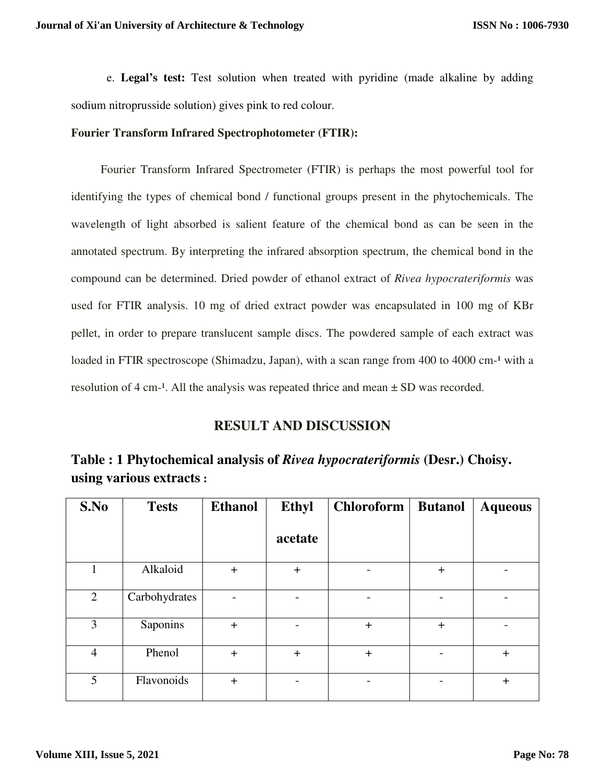e. **Legal's test:** Test solution when treated with pyridine (made alkaline by adding sodium nitroprusside solution) gives pink to red colour.

# **Fourier Transform Infrared Spectrophotometer (FTIR):**

 Fourier Transform Infrared Spectrometer (FTIR) is perhaps the most powerful tool for identifying the types of chemical bond / functional groups present in the phytochemicals. The wavelength of light absorbed is salient feature of the chemical bond as can be seen in the annotated spectrum. By interpreting the infrared absorption spectrum, the chemical bond in the compound can be determined. Dried powder of ethanol extract of *Rivea hypocrateriformis* was used for FTIR analysis. 10 mg of dried extract powder was encapsulated in 100 mg of KBr pellet, in order to prepare translucent sample discs. The powdered sample of each extract was loaded in FTIR spectroscope (Shimadzu, Japan), with a scan range from 400 to 4000 cm-<sup>1</sup> with a resolution of 4 cm<sup>-1</sup>. All the analysis was repeated thrice and mean  $\pm$  SD was recorded.

# **RESULT AND DISCUSSION**

| Table : 1 Phytochemical analysis of Rivea hypocrateriformis (Desr.) Choisy. |  |  |
|-----------------------------------------------------------------------------|--|--|
| using various extracts :                                                    |  |  |

| S.No           | <b>Tests</b>  | <b>Ethanol</b> | <b>Ethyl</b> | <b>Chloroform</b> | <b>Butanol</b> | <b>Aqueous</b> |
|----------------|---------------|----------------|--------------|-------------------|----------------|----------------|
|                |               |                | acetate      |                   |                |                |
| 1              | Alkaloid      | $+$            | $+$          |                   | $+$            |                |
| $\overline{2}$ | Carbohydrates | -              |              |                   |                |                |
| 3              | Saponins      | $+$            |              | $+$               | $+$            |                |
| $\overline{4}$ | Phenol        | $+$            | $\pm$        | $+$               |                | $+$            |
| 5              | Flavonoids    | $+$            |              |                   |                | $\ddag$        |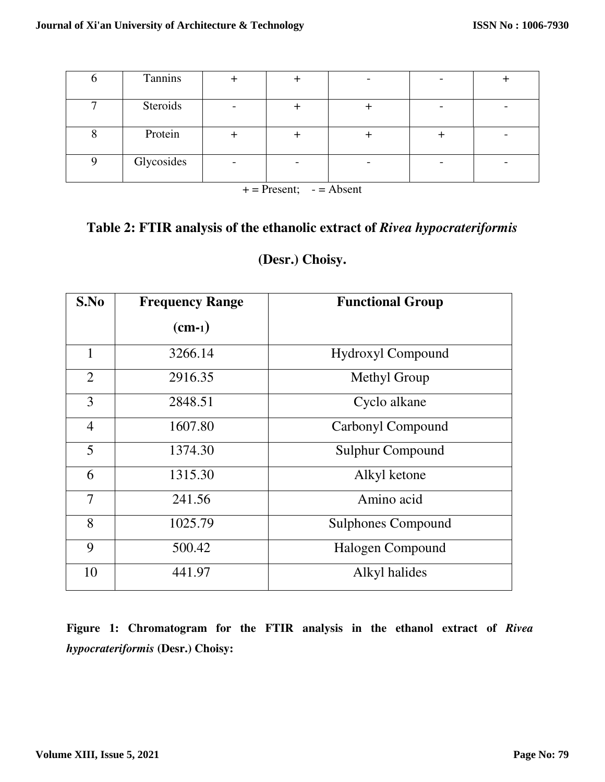| Steroids   |  |  |  |
|------------|--|--|--|
| Protein    |  |  |  |
| Glycosides |  |  |  |

 $+=$  Present;  $-$  = Absent

# **Table 2: FTIR analysis of the ethanolic extract of** *Rivea hypocrateriformis*

# **(Desr.) Choisy.**

| S.No           | <b>Frequency Range</b> | <b>Functional Group</b>   |  |
|----------------|------------------------|---------------------------|--|
|                | $(cm-1)$               |                           |  |
| $\mathbf{1}$   | 3266.14                | <b>Hydroxyl Compound</b>  |  |
| 2              | 2916.35                | Methyl Group              |  |
| 3              | 2848.51                | Cyclo alkane              |  |
| $\overline{4}$ | 1607.80                | Carbonyl Compound         |  |
| 5              | 1374.30                | <b>Sulphur Compound</b>   |  |
| 6              | 1315.30                | Alkyl ketone              |  |
| $\overline{7}$ | 241.56                 | Amino acid                |  |
| 8              | 1025.79                | <b>Sulphones Compound</b> |  |
| 9              | 500.42                 | Halogen Compound          |  |
| 10             | 441.97                 | Alkyl halides             |  |

**Figure 1: Chromatogram for the FTIR analysis in the ethanol extract of** *Rivea hypocrateriformis* **(Desr.) Choisy:**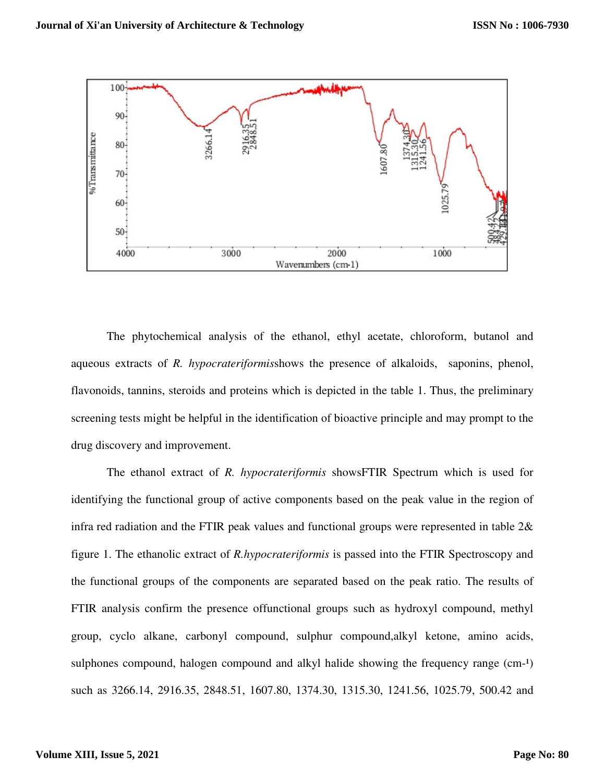

The phytochemical analysis of the ethanol, ethyl acetate, chloroform, butanol and aqueous extracts of *R. hypocrateriformis*shows the presence of alkaloids, saponins, phenol, flavonoids, tannins, steroids and proteins which is depicted in the table 1. Thus, the preliminary screening tests might be helpful in the identification of bioactive principle and may prompt to the drug discovery and improvement.

The ethanol extract of *R. hypocrateriformis* showsFTIR Spectrum which is used for identifying the functional group of active components based on the peak value in the region of infra red radiation and the FTIR peak values and functional groups were represented in table 2& figure 1. The ethanolic extract of *R.hypocrateriformis* is passed into the FTIR Spectroscopy and the functional groups of the components are separated based on the peak ratio. The results of FTIR analysis confirm the presence offunctional groups such as hydroxyl compound, methyl group, cyclo alkane, carbonyl compound, sulphur compound,alkyl ketone, amino acids, sulphones compound, halogen compound and alkyl halide showing the frequency range  $(cm<sup>-1</sup>)$ such as 3266.14, 2916.35, 2848.51, 1607.80, 1374.30, 1315.30, 1241.56, 1025.79, 500.42 and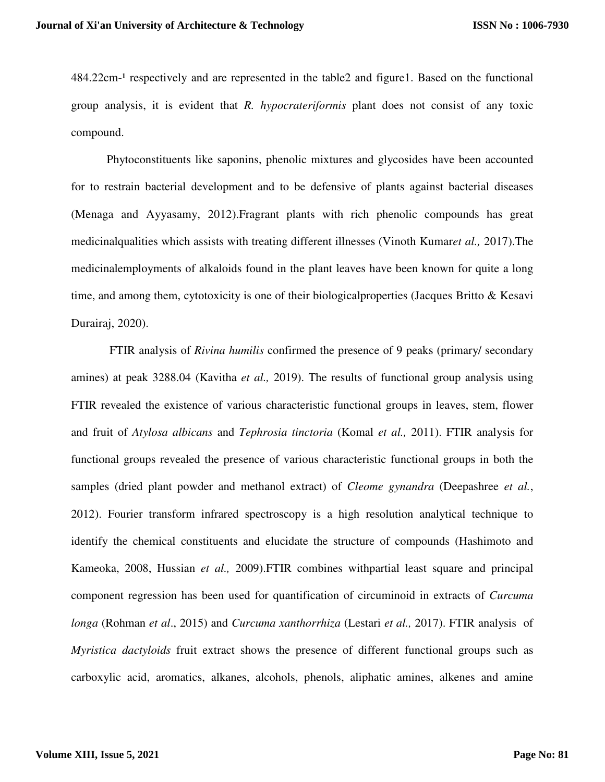$484.22$ cm<sup>-1</sup> respectively and are represented in the table 2 and figure1. Based on the functional group analysis, it is evident that *R. hypocrateriformis* plant does not consist of any toxic compound.

Phytoconstituents like saponins, phenolic mixtures and glycosides have been accounted for to restrain bacterial development and to be defensive of plants against bacterial diseases (Menaga and Ayyasamy, 2012).Fragrant plants with rich phenolic compounds has great medicinalqualities which assists with treating different illnesses (Vinoth Kumar*et al.,* 2017).The medicinalemployments of alkaloids found in the plant leaves have been known for quite a long time, and among them, cytotoxicity is one of their biologicalproperties (Jacques Britto & Kesavi Durairaj, 2020).

 FTIR analysis of *Rivina humilis* confirmed the presence of 9 peaks (primary/ secondary amines) at peak 3288.04 (Kavitha *et al.,* 2019). The results of functional group analysis using FTIR revealed the existence of various characteristic functional groups in leaves, stem, flower and fruit of *Atylosa albicans* and *Tephrosia tinctoria* (Komal *et al.,* 2011). FTIR analysis for functional groups revealed the presence of various characteristic functional groups in both the samples (dried plant powder and methanol extract) of *Cleome gynandra* (Deepashree *et al.*, 2012). Fourier transform infrared spectroscopy is a high resolution analytical technique to identify the chemical constituents and elucidate the structure of compounds (Hashimoto and Kameoka, 2008, Hussian *et al.,* 2009).FTIR combines withpartial least square and principal component regression has been used for quantification of circuminoid in extracts of *Curcuma longa* (Rohman *et al*., 2015) and *Curcuma xanthorrhiza* (Lestari *et al.,* 2017). FTIR analysis of *Myristica dactyloids* fruit extract shows the presence of different functional groups such as carboxylic acid, aromatics, alkanes, alcohols, phenols, aliphatic amines, alkenes and amine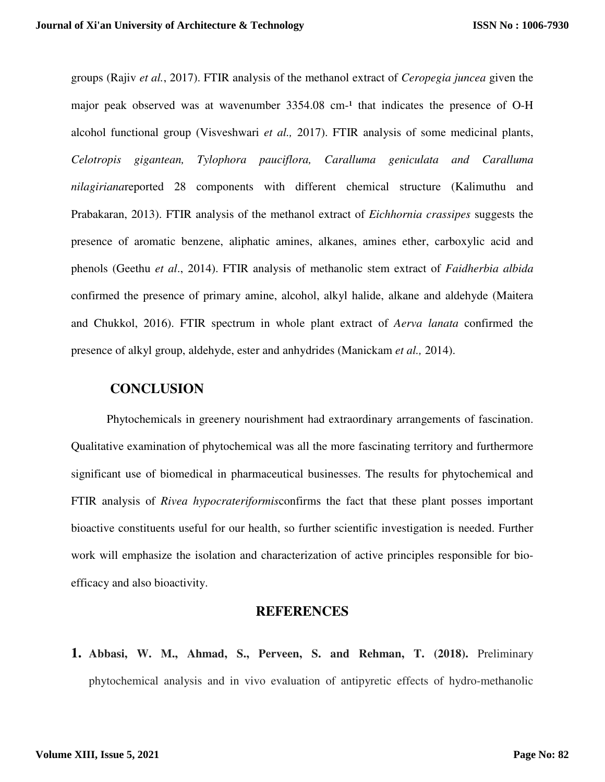groups (Rajiv *et al.*, 2017). FTIR analysis of the methanol extract of *Ceropegia juncea* given the major peak observed was at wavenumber  $3354.08$  cm<sup>-1</sup> that indicates the presence of O-H alcohol functional group (Visveshwari *et al.,* 2017). FTIR analysis of some medicinal plants, *Celotropis gigantean, Tylophora pauciflora, Caralluma geniculata and Caralluma nilagiriana*reported 28 components with different chemical structure (Kalimuthu and Prabakaran, 2013). FTIR analysis of the methanol extract of *Eichhornia crassipes* suggests the presence of aromatic benzene, aliphatic amines, alkanes, amines ether, carboxylic acid and phenols (Geethu *et al*., 2014). FTIR analysis of methanolic stem extract of *Faidherbia albida* confirmed the presence of primary amine, alcohol, alkyl halide, alkane and aldehyde (Maitera and Chukkol, 2016). FTIR spectrum in whole plant extract of *Aerva lanata* confirmed the presence of alkyl group, aldehyde, ester and anhydrides (Manickam *et al.,* 2014).

# **CONCLUSION**

Phytochemicals in greenery nourishment had extraordinary arrangements of fascination. Qualitative examination of phytochemical was all the more fascinating territory and furthermore significant use of biomedical in pharmaceutical businesses. The results for phytochemical and FTIR analysis of *Rivea hypocrateriformis*confirms the fact that these plant posses important bioactive constituents useful for our health, so further scientific investigation is needed. Further work will emphasize the isolation and characterization of active principles responsible for bioefficacy and also bioactivity.

# **REFERENCES**

**1. Abbasi, W. M., Ahmad, S., Perveen, S. and Rehman, T. (2018).** Preliminary phytochemical analysis and in vivo evaluation of antipyretic effects of hydro-methanolic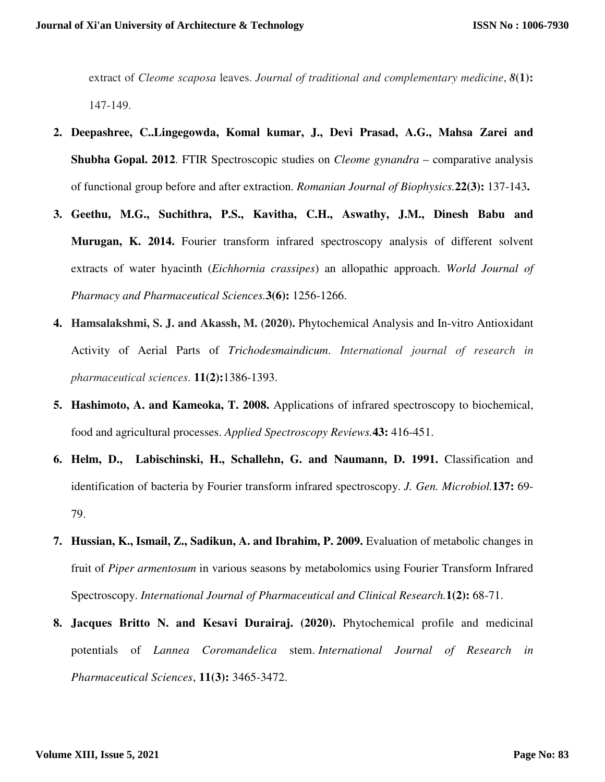extract of *Cleome scaposa* leaves. *Journal of traditional and complementary medicine*, *8***(1):** 147-149.

- **2. Deepashree, C..Lingegowda, Komal kumar, J., Devi Prasad, A.G., Mahsa Zarei and Shubha Gopal. 2012**. FTIR Spectroscopic studies on *Cleome gynandra* – comparative analysis of functional group before and after extraction. *Romanian Journal of Biophysics.***22(3):** 137-143**.**
- **3. Geethu, M.G., Suchithra, P.S., Kavitha, C.H., Aswathy, J.M., Dinesh Babu and Murugan, K. 2014.** Fourier transform infrared spectroscopy analysis of different solvent extracts of water hyacinth (*Eichhornia crassipes*) an allopathic approach. *World Journal of Pharmacy and Pharmaceutical Sciences.***3(6):** 1256-1266.
- **4. Hamsalakshmi, S. J. and Akassh, M. (2020).** Phytochemical Analysis and In-vitro Antioxidant Activity of Aerial Parts of *Trichodesmaindicum*. *International journal of research in pharmaceutical sciences*. **11(2):**1386-1393.
- **5. Hashimoto, A. and Kameoka, T. 2008.** Applications of infrared spectroscopy to biochemical, food and agricultural processes. *Applied Spectroscopy Reviews.***43:** 416-451.
- **6. Helm, D., Labischinski, H., Schallehn, G. and Naumann, D. 1991.** Classification and identification of bacteria by Fourier transform infrared spectroscopy. *J. Gen. Microbiol.***137:** 69- 79.
- **7. Hussian, K., Ismail, Z., Sadikun, A. and Ibrahim, P. 2009.** Evaluation of metabolic changes in fruit of *Piper armentosum* in various seasons by metabolomics using Fourier Transform Infrared Spectroscopy. *International Journal of Pharmaceutical and Clinical Research.***1(2):** 68-71.
- **8. Jacques Britto N. and Kesavi Durairaj. (2020).** Phytochemical profile and medicinal potentials of *Lannea Coromandelica* stem. *International Journal of Research in Pharmaceutical Sciences*, **11(3):** 3465-3472.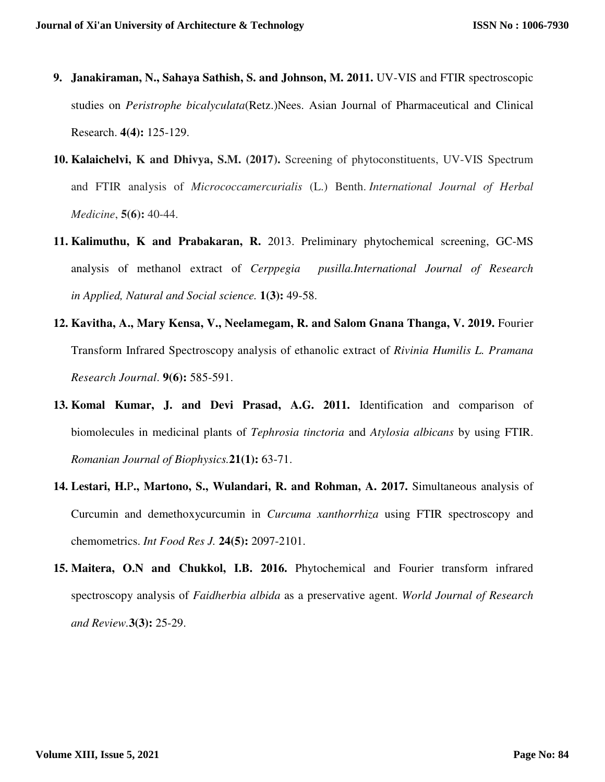- **9. Janakiraman, N., Sahaya Sathish, S. and Johnson, M. 2011.** UV-VIS and FTIR spectroscopic studies on *Peristrophe bicalyculata*(Retz.)Nees. Asian Journal of Pharmaceutical and Clinical Research. **4(4):** 125-129.
- **10. Kalaichelvi, K and Dhivya, S.M. (2017).** Screening of phytoconstituents, UV-VIS Spectrum and FTIR analysis of *Micrococcamercurialis* (L.) Benth. *International Journal of Herbal Medicine*, **5(6):** 40-44.
- **11. Kalimuthu, K and Prabakaran, R.** 2013. Preliminary phytochemical screening, GC-MS analysis of methanol extract of *Cerppegia pusilla.International Journal of Research in Applied, Natural and Social science.* **1(3):** 49-58.
- **12. Kavitha, A., Mary Kensa, V., Neelamegam, R. and Salom Gnana Thanga, V. 2019.** Fourier Transform Infrared Spectroscopy analysis of ethanolic extract of *Rivinia Humilis L. Pramana Research Journal*. **9(6):** 585-591.
- **13. Komal Kumar, J. and Devi Prasad, A.G. 2011.** Identification and comparison of biomolecules in medicinal plants of *Tephrosia tinctoria* and *Atylosia albicans* by using FTIR. *Romanian Journal of Biophysics.***21(1):** 63-71.
- **14. Lestari, H.**P**., Martono, S., Wulandari, R. and Rohman, A. 2017.** Simultaneous analysis of Curcumin and demethoxycurcumin in *Curcuma xanthorrhiza* using FTIR spectroscopy and chemometrics. *Int Food Res J.* **24(5):** 2097-2101.
- **15. Maitera, O.N and Chukkol, I.B. 2016.** Phytochemical and Fourier transform infrared spectroscopy analysis of *Faidherbia albida* as a preservative agent. *World Journal of Research and Review.***3(3):** 25-29.